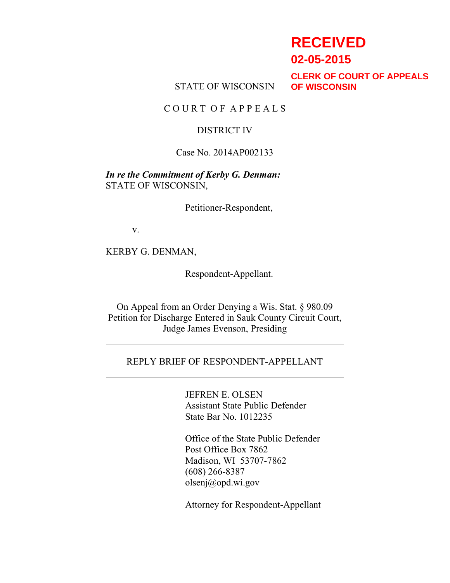# **RECEIVED**

**02-05-2015**

STATE OF WISCONSIN

**CLERK OF COURT OF APPEALS OF WISCONSIN**

C O U R T O F A P P E A L S

#### DISTRICT IV

#### Case No. 2014AP002133

*In re the Commitment of Kerby G. Denman:* STATE OF WISCONSIN,

Petitioner-Respondent,

v.

KERBY G. DENMAN,

Respondent-Appellant.

On Appeal from an Order Denying a Wis. Stat. § 980.09 Petition for Discharge Entered in Sauk County Circuit Court, Judge James Evenson, Presiding

### REPLY BRIEF OF RESPONDENT-APPELLANT

JEFREN E. OLSEN Assistant State Public Defender State Bar No. 1012235

Office of the State Public Defender Post Office Box 7862 Madison, WI 53707-7862 (608) 266-8387 olsenj@opd.wi.gov

Attorney for Respondent-Appellant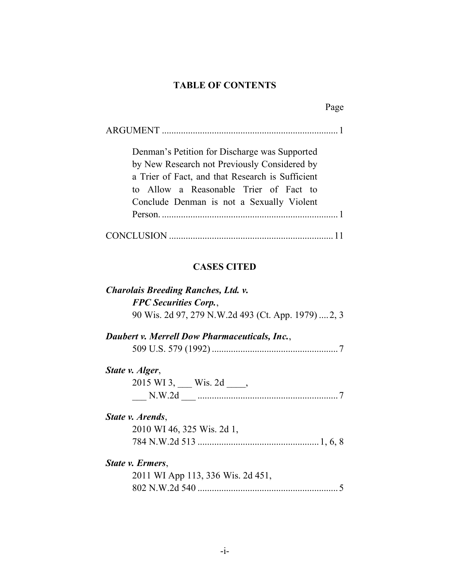### **TABLE OF CONTENTS**

| <b>ARGUMENT</b> |  |  |
|-----------------|--|--|
|-----------------|--|--|

Denman's Petition for Discharge was Supported by New Research not Previously Considered by a Trier of Fact, and that Research is Sufficient to Allow a Reasonable Trier of Fact to Conclude Denman is not a Sexually Violent Person. ..........................................................................1

|--|--|

### **CASES CITED**

| Charolais Breeding Ranches, Ltd. v.                  |  |
|------------------------------------------------------|--|
| <b>FPC Securities Corp.,</b>                         |  |
| 90 Wis. 2d 97, 279 N.W.2d 493 (Ct. App. 1979)  2, 3  |  |
| <b>Daubert v. Merrell Dow Pharmaceuticals, Inc.,</b> |  |
|                                                      |  |
| State v. Alger,                                      |  |
| $2015$ WI 3, Wis. 2d,                                |  |
|                                                      |  |
| State v. Arends,                                     |  |
| 2010 WI 46, 325 Wis. 2d 1,                           |  |
|                                                      |  |
| State v. Ermers,                                     |  |
| 2011 WI App 113, 336 Wis. 2d 451,                    |  |
|                                                      |  |
|                                                      |  |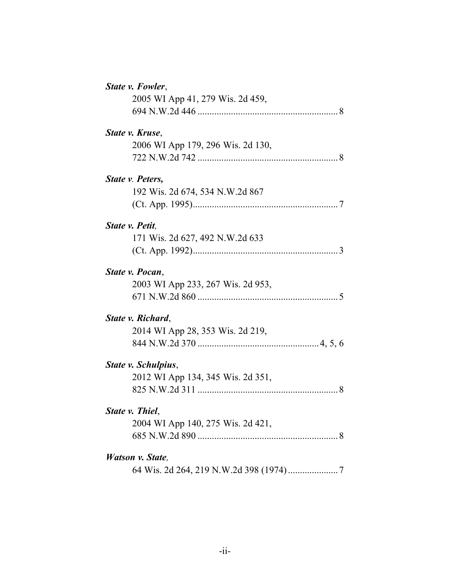| State v. Fowler,                  |  |
|-----------------------------------|--|
| 2005 WI App 41, 279 Wis. 2d 459,  |  |
|                                   |  |
| State v. Kruse,                   |  |
| 2006 WI App 179, 296 Wis. 2d 130, |  |
|                                   |  |
| State v. Peters,                  |  |
| 192 Wis. 2d 674, 534 N.W.2d 867   |  |
|                                   |  |
| State v. Petit,                   |  |
| 171 Wis. 2d 627, 492 N.W.2d 633   |  |
|                                   |  |
| State v. Pocan,                   |  |
| 2003 WI App 233, 267 Wis. 2d 953, |  |
|                                   |  |
| State v. Richard,                 |  |
| 2014 WI App 28, 353 Wis. 2d 219,  |  |
|                                   |  |
| State v. Schulpius,               |  |
| 2012 WI App 134, 345 Wis. 2d 351, |  |
|                                   |  |
| State v. Thiel,                   |  |
| 2004 WI App 140, 275 Wis. 2d 421, |  |
|                                   |  |
| Watson v. State,                  |  |
|                                   |  |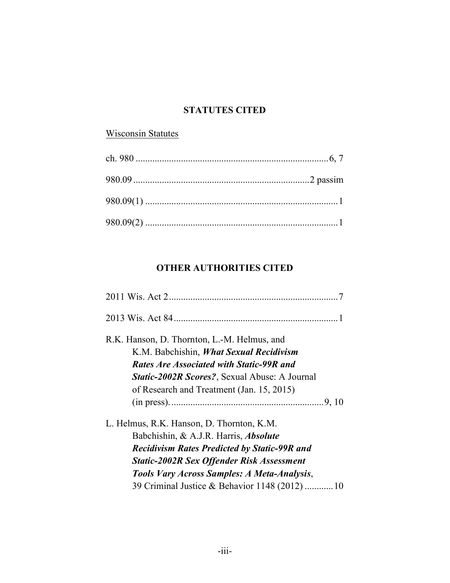### **STATUTES CITED**

# Wisconsin Statutes

# **OTHER AUTHORITIES CITED**

| R.K. Hanson, D. Thornton, L.-M. Helmus, and         |  |
|-----------------------------------------------------|--|
| K.M. Babchishin, What Sexual Recidivism             |  |
| <b>Rates Are Associated with Static-99R and</b>     |  |
| Static-2002R Scores?, Sexual Abuse: A Journal       |  |
| of Research and Treatment (Jan. 15, 2015)           |  |
|                                                     |  |
| L. Helmus, R.K. Hanson, D. Thornton, K.M.           |  |
| Babchishin, & A.J.R. Harris, <i>Absolute</i>        |  |
| <b>Recidivism Rates Predicted by Static-99R and</b> |  |
| <b>Static-2002R Sex Offender Risk Assessment</b>    |  |
| Tools Vary Across Samples: A Meta-Analysis,         |  |
| 39 Criminal Justice & Behavior 1148 (2012)  10      |  |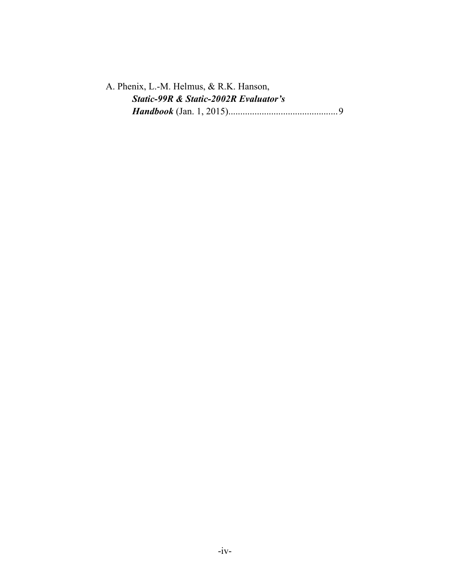| A. Phenix, L.-M. Helmus, & R.K. Hanson,          |  |
|--------------------------------------------------|--|
| <b>Static-99R &amp; Static-2002R Evaluator's</b> |  |
|                                                  |  |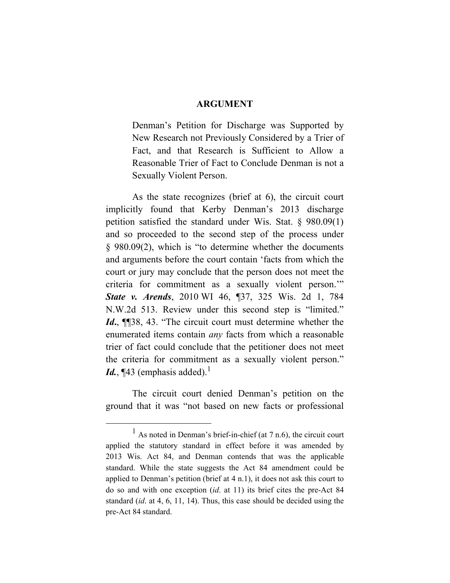#### **ARGUMENT**

Denman's Petition for Discharge was Supported by New Research not Previously Considered by a Trier of Fact, and that Research is Sufficient to Allow a Reasonable Trier of Fact to Conclude Denman is not a Sexually Violent Person.

As the state recognizes (brief at 6), the circuit court implicitly found that Kerby Denman's 2013 discharge petition satisfied the standard under Wis. Stat. § 980.09(1) and so proceeded to the second step of the process under § 980.09(2), which is "to determine whether the documents and arguments before the court contain 'facts from which the court or jury may conclude that the person does not meet the criteria for commitment as a sexually violent person.'" *State v. Arends*, 2010 WI 46, ¶37, 325 Wis. 2d 1, 784 N.W.2d 513. Review under this second step is "limited." *Id***.**, ¶¶38, 43. "The circuit court must determine whether the enumerated items contain *any* facts from which a reasonable trier of fact could conclude that the petitioner does not meet the criteria for commitment as a sexually violent person." *Id.*,  $\P$ 43 (emphasis added).<sup>1</sup>

The circuit court denied Denman's petition on the ground that it was "not based on new facts or professional

 $\frac{1}{1}$  $<sup>1</sup>$  As noted in Denman's brief-in-chief (at 7 n.6), the circuit court</sup> applied the statutory standard in effect before it was amended by 2013 Wis. Act 84, and Denman contends that was the applicable standard. While the state suggests the Act 84 amendment could be applied to Denman's petition (brief at 4 n.1), it does not ask this court to do so and with one exception (*id*. at 11) its brief cites the pre-Act 84 standard (*id*. at 4, 6, 11, 14). Thus, this case should be decided using the pre-Act 84 standard.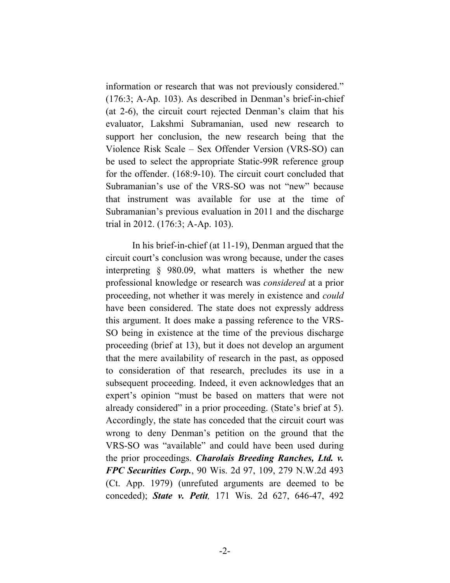information or research that was not previously considered." (176:3; A-Ap. 103). As described in Denman's brief-in-chief (at 2-6), the circuit court rejected Denman's claim that his evaluator, Lakshmi Subramanian, used new research to support her conclusion, the new research being that the Violence Risk Scale – Sex Offender Version (VRS-SO) can be used to select the appropriate Static-99R reference group for the offender. (168:9-10). The circuit court concluded that Subramanian's use of the VRS-SO was not "new" because that instrument was available for use at the time of Subramanian's previous evaluation in 2011 and the discharge trial in 2012. (176:3; A-Ap. 103).

In his brief-in-chief (at 11-19), Denman argued that the circuit court's conclusion was wrong because, under the cases interpreting § 980.09, what matters is whether the new professional knowledge or research was *considered* at a prior proceeding, not whether it was merely in existence and *could* have been considered. The state does not expressly address this argument. It does make a passing reference to the VRS-SO being in existence at the time of the previous discharge proceeding (brief at 13), but it does not develop an argument that the mere availability of research in the past, as opposed to consideration of that research, precludes its use in a subsequent proceeding. Indeed, it even acknowledges that an expert's opinion "must be based on matters that were not already considered" in a prior proceeding. (State's brief at 5). Accordingly, the state has conceded that the circuit court was wrong to deny Denman's petition on the ground that the VRS-SO was "available" and could have been used during the prior proceedings. *Charolais Breeding Ranches, Ltd. v. FPC Securities Corp.*, 90 Wis. 2d 97, 109, 279 N.W.2d 493 (Ct. App. 1979) (unrefuted arguments are deemed to be conceded); *State v. Petit,* 171 Wis. 2d 627, 646-47, 492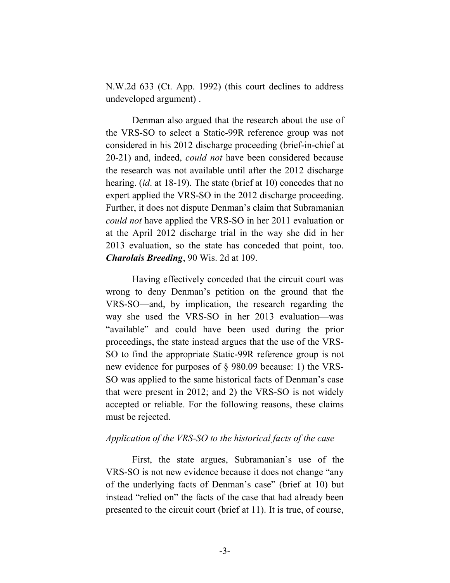N.W.2d 633 (Ct. App. 1992) (this court declines to address undeveloped argument) .

Denman also argued that the research about the use of the VRS-SO to select a Static-99R reference group was not considered in his 2012 discharge proceeding (brief-in-chief at 20-21) and, indeed, *could not* have been considered because the research was not available until after the 2012 discharge hearing. (*id*. at 18-19). The state (brief at 10) concedes that no expert applied the VRS-SO in the 2012 discharge proceeding. Further, it does not dispute Denman's claim that Subramanian *could not* have applied the VRS-SO in her 2011 evaluation or at the April 2012 discharge trial in the way she did in her 2013 evaluation, so the state has conceded that point, too. *Charolais Breeding*, 90 Wis. 2d at 109.

Having effectively conceded that the circuit court was wrong to deny Denman's petition on the ground that the VRS-SO—and, by implication, the research regarding the way she used the VRS-SO in her 2013 evaluation—was "available" and could have been used during the prior proceedings, the state instead argues that the use of the VRS-SO to find the appropriate Static-99R reference group is not new evidence for purposes of § 980.09 because: 1) the VRS-SO was applied to the same historical facts of Denman's case that were present in 2012; and 2) the VRS-SO is not widely accepted or reliable. For the following reasons, these claims must be rejected.

### *Application of the VRS-SO to the historical facts of the case*

First, the state argues, Subramanian's use of the VRS-SO is not new evidence because it does not change "any of the underlying facts of Denman's case" (brief at 10) but instead "relied on" the facts of the case that had already been presented to the circuit court (brief at 11). It is true, of course,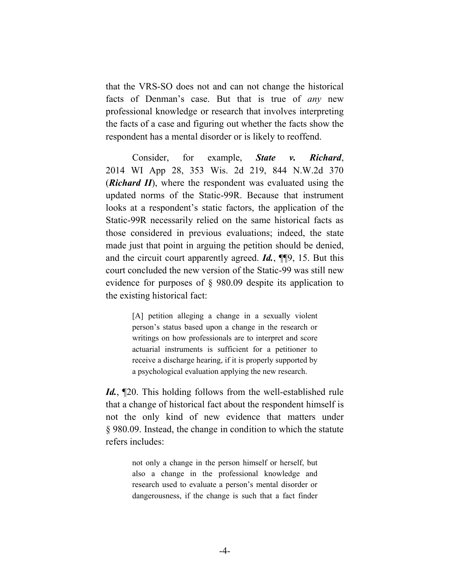that the VRS-SO does not and can not change the historical facts of Denman's case. But that is true of *any* new professional knowledge or research that involves interpreting the facts of a case and figuring out whether the facts show the respondent has a mental disorder or is likely to reoffend.

Consider, for example, *State v. Richard*, 2014 WI App 28, 353 Wis. 2d 219, 844 N.W.2d 370 (*Richard II*), where the respondent was evaluated using the updated norms of the Static-99R. Because that instrument looks at a respondent's static factors, the application of the Static-99R necessarily relied on the same historical facts as those considered in previous evaluations; indeed, the state made just that point in arguing the petition should be denied, and the circuit court apparently agreed. *Id.*, ¶¶9, 15. But this court concluded the new version of the Static-99 was still new evidence for purposes of § 980.09 despite its application to the existing historical fact:

> [A] petition alleging a change in a sexually violent person's status based upon a change in the research or writings on how professionals are to interpret and score actuarial instruments is sufficient for a petitioner to receive a discharge hearing, if it is properly supported by a psychological evaluation applying the new research.

*Id.*, ¶20. This holding follows from the well-established rule that a change of historical fact about the respondent himself is not the only kind of new evidence that matters under § 980.09. Instead, the change in condition to which the statute refers includes:

> not only a change in the person himself or herself, but also a change in the professional knowledge and research used to evaluate a person's mental disorder or dangerousness, if the change is such that a fact finder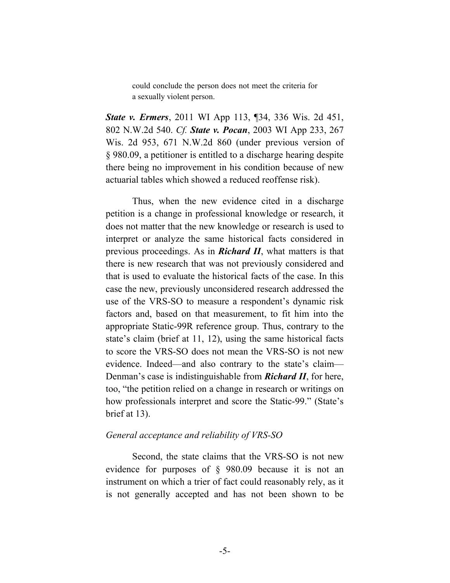could conclude the person does not meet the criteria for a sexually violent person.

*State v. Ermers*, 2011 WI App 113, ¶34, 336 Wis. 2d 451, 802 N.W.2d 540. *Cf. State v. Pocan*, 2003 WI App 233, 267 Wis. 2d 953, 671 N.W.2d 860 (under previous version of § 980.09, a petitioner is entitled to a discharge hearing despite there being no improvement in his condition because of new actuarial tables which showed a reduced reoffense risk).

Thus, when the new evidence cited in a discharge petition is a change in professional knowledge or research, it does not matter that the new knowledge or research is used to interpret or analyze the same historical facts considered in previous proceedings. As in *Richard II*, what matters is that there is new research that was not previously considered and that is used to evaluate the historical facts of the case. In this case the new, previously unconsidered research addressed the use of the VRS-SO to measure a respondent's dynamic risk factors and, based on that measurement, to fit him into the appropriate Static-99R reference group. Thus, contrary to the state's claim (brief at 11, 12), using the same historical facts to score the VRS-SO does not mean the VRS-SO is not new evidence. Indeed—and also contrary to the state's claim— Denman's case is indistinguishable from *Richard II*, for here, too, "the petition relied on a change in research or writings on how professionals interpret and score the Static-99." (State's brief at 13).

#### *General acceptance and reliability of VRS-SO*

Second, the state claims that the VRS-SO is not new evidence for purposes of § 980.09 because it is not an instrument on which a trier of fact could reasonably rely, as it is not generally accepted and has not been shown to be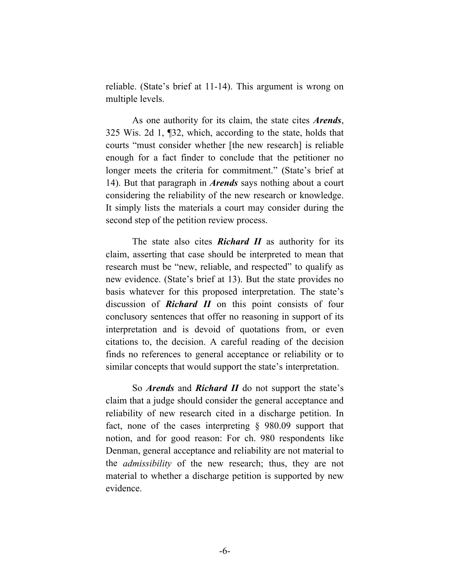reliable. (State's brief at 11-14). This argument is wrong on multiple levels.

As one authority for its claim, the state cites *Arends*, 325 Wis. 2d 1, ¶32, which, according to the state, holds that courts "must consider whether [the new research] is reliable enough for a fact finder to conclude that the petitioner no longer meets the criteria for commitment." (State's brief at 14). But that paragraph in *Arends* says nothing about a court considering the reliability of the new research or knowledge. It simply lists the materials a court may consider during the second step of the petition review process.

The state also cites *Richard II* as authority for its claim, asserting that case should be interpreted to mean that research must be "new, reliable, and respected" to qualify as new evidence. (State's brief at 13). But the state provides no basis whatever for this proposed interpretation. The state's discussion of *Richard II* on this point consists of four conclusory sentences that offer no reasoning in support of its interpretation and is devoid of quotations from, or even citations to, the decision. A careful reading of the decision finds no references to general acceptance or reliability or to similar concepts that would support the state's interpretation.

So *Arends* and *Richard II* do not support the state's claim that a judge should consider the general acceptance and reliability of new research cited in a discharge petition. In fact, none of the cases interpreting § 980.09 support that notion, and for good reason: For ch. 980 respondents like Denman, general acceptance and reliability are not material to the *admissibility* of the new research; thus, they are not material to whether a discharge petition is supported by new evidence.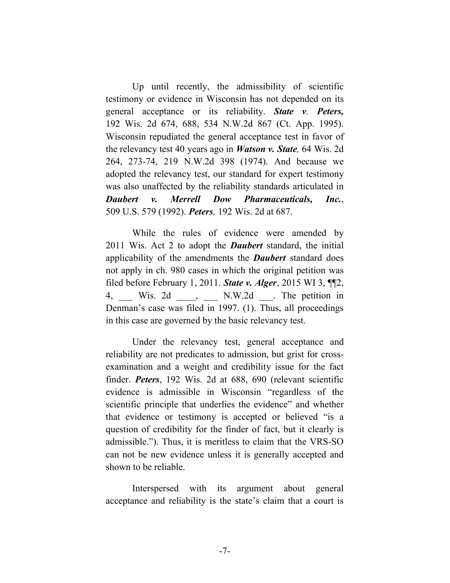Up until recently, the admissibility of scientific testimony or evidence in Wisconsin has not depended on its general acceptance or its reliability. *State v. Peters,* 192 Wis. 2d 674, 688, 534 N.W.2d 867 (Ct. App. 1995). Wisconsin repudiated the general acceptance test in favor of the relevancy test 40 years ago in *Watson v. State,* 64 Wis. 2d 264, 273-74, 219 N.W.2d 398 (1974). And because we adopted the relevancy test, our standard for expert testimony was also unaffected by the reliability standards articulated in *Daubert v. Merrell Dow Pharmaceuticals, Inc.*, 509 U.S. 579 (1992). *Peters,* 192 Wis. 2d at 687.

While the rules of evidence were amended by 2011 Wis. Act 2 to adopt the *Daubert* standard, the initial applicability of the amendments the *Daubert* standard does not apply in ch. 980 cases in which the original petition was filed before February 1, 2011. *State v. Alger*, 2015 WI 3, ¶¶2, 4, Wis. 2d , N.W.2d . The petition in Denman's case was filed in 1997. (1). Thus, all proceedings in this case are governed by the basic relevancy test.

Under the relevancy test, general acceptance and reliability are not predicates to admission, but grist for crossexamination and a weight and credibility issue for the fact finder. *Peters*, 192 Wis. 2d at 688, 690 (relevant scientific evidence is admissible in Wisconsin "regardless of the scientific principle that underlies the evidence" and whether that evidence or testimony is accepted or believed "is a question of credibility for the finder of fact, but it clearly is admissible."). Thus, it is meritless to claim that the VRS-SO can not be new evidence unless it is generally accepted and shown to be reliable.

Interspersed with its argument about general acceptance and reliability is the state's claim that a court is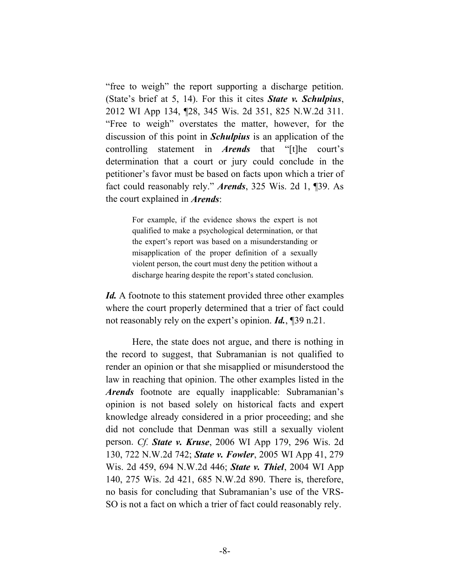"free to weigh" the report supporting a discharge petition. (State's brief at 5, 14). For this it cites *State v. Schulpius*, 2012 WI App 134, ¶28, 345 Wis. 2d 351, 825 N.W.2d 311. "Free to weigh" overstates the matter, however, for the discussion of this point in *Schulpius* is an application of the controlling statement in *Arends* that "[t]he court's determination that a court or jury could conclude in the petitioner's favor must be based on facts upon which a trier of fact could reasonably rely." *Arends*, 325 Wis. 2d 1, ¶39. As the court explained in *Arends*:

> For example, if the evidence shows the expert is not qualified to make a psychological determination, or that the expert's report was based on a misunderstanding or misapplication of the proper definition of a sexually violent person, the court must deny the petition without a discharge hearing despite the report's stated conclusion.

*Id.* A footnote to this statement provided three other examples where the court properly determined that a trier of fact could not reasonably rely on the expert's opinion. *Id.*, ¶39 n.21.

Here, the state does not argue, and there is nothing in the record to suggest, that Subramanian is not qualified to render an opinion or that she misapplied or misunderstood the law in reaching that opinion. The other examples listed in the *Arends* footnote are equally inapplicable: Subramanian's opinion is not based solely on historical facts and expert knowledge already considered in a prior proceeding; and she did not conclude that Denman was still a sexually violent person. *Cf. State v. Kruse*, 2006 WI App 179, 296 Wis. 2d 130, 722 N.W.2d 742; *State v. Fowler*, 2005 WI App 41, 279 Wis. 2d 459, 694 N.W.2d 446; *State v. Thiel*, 2004 WI App 140, 275 Wis. 2d 421, 685 N.W.2d 890. There is, therefore, no basis for concluding that Subramanian's use of the VRS-SO is not a fact on which a trier of fact could reasonably rely.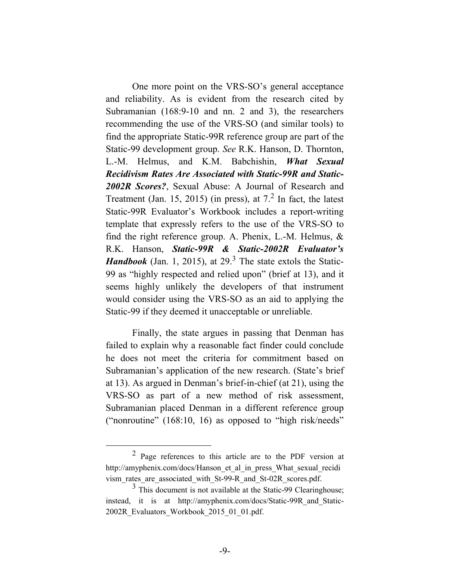One more point on the VRS-SO's general acceptance and reliability. As is evident from the research cited by Subramanian (168:9-10 and nn. 2 and 3), the researchers recommending the use of the VRS-SO (and similar tools) to find the appropriate Static-99R reference group are part of the Static-99 development group. *See* R.K. Hanson, D. Thornton, L.-M. Helmus, and K.M. Babchishin, *What Sexual Recidivism Rates Are Associated with Static-99R and Static-2002R Scores?*, Sexual Abuse: A Journal of Research and Treatment (Jan. 15, 2015) (in press), at  $7<sup>2</sup>$  In fact, the latest Static-99R Evaluator's Workbook includes a report-writing template that expressly refers to the use of the VRS-SO to find the right reference group. A. Phenix, L.-M. Helmus, & R.K. Hanson, *Static-99R & Static-2002R Evaluator's Handbook* (Jan. 1, 2015), at  $29<sup>3</sup>$ . The state extols the Static-99 as "highly respected and relied upon" (brief at 13), and it seems highly unlikely the developers of that instrument would consider using the VRS-SO as an aid to applying the Static-99 if they deemed it unacceptable or unreliable.

Finally, the state argues in passing that Denman has failed to explain why a reasonable fact finder could conclude he does not meet the criteria for commitment based on Subramanian's application of the new research. (State's brief at 13). As argued in Denman's brief-in-chief (at 21), using the VRS-SO as part of a new method of risk assessment, Subramanian placed Denman in a different reference group ("nonroutine" (168:10, 16) as opposed to "high risk/needs"

 $\overline{\ }$  2 Page references to this article are to the PDF version at http://amyphenix.com/docs/Hanson\_et\_al\_in\_press\_What\_sexual\_recidi vism\_rates\_are\_associated\_with\_St-99-R\_and\_St-02R\_scores.pdf.

<sup>&</sup>lt;sup>3</sup> This document is not available at the Static-99 Clearinghouse; instead, it is at http://amyphenix.com/docs/Static-99R\_and\_Static-2002R\_Evaluators\_Workbook\_2015\_01\_01.pdf.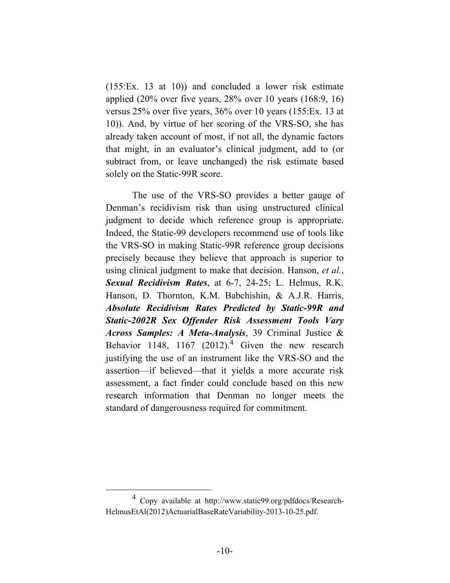(155:Ex. 13 at 10)) and concluded a lower risk estimate applied  $(20\%$  over five years, 28% over 10 years  $(168.9, 16)$ versus 25% over five years, 36% over 10 years (155:Ex. 13 at 10)). And, by virtue of her scoring of the VRS-SO, she has already taken account of most, if not all, the dynamic factors that might, in an evaluator's clinical judgment, add to (or subtract from, or leave unchanged) the risk estimate based solely on the Static-99R score.

The use of the VRS-SO provides a better gauge of Denman's recidivism risk than using unstructured clinical judgment to decide which reference group is appropriate. Indeed, the Static-99 developers recommend use of tools like the VRS-SO in making Static-99R reference group decisions precisely because they believe that approach is superior to using clinical judgment to make that decision. Hanson, *et al.*, *Sexual Recidivism Rates*, at 6-7, 24-25; L. Helmus, R.K. Hanson, D. Thornton, K.M. Babchishin, & A.J.R. Harris, *Absolute Recidivism Rates Predicted by Static-99R and Static-2002R Sex Offender Risk Assessment Tools Vary Across Samples: A Meta-Analysis*, 39 Criminal Justice & Behavior 1148, 1167  $(2012)^4$  Given the new research justifying the use of an instrument like the VRS-SO and the assertion—if believed—that it yields a more accurate risk assessment, a fact finder could conclude based on this new research information that Denman no longer meets the standard of dangerousness required for commitment.

 $\overline{4}$  Copy available at http://www.static99.org/pdfdocs/Research-HelmusEtAl(2012)ActuarialBaseRateVariability-2013-10-25.pdf.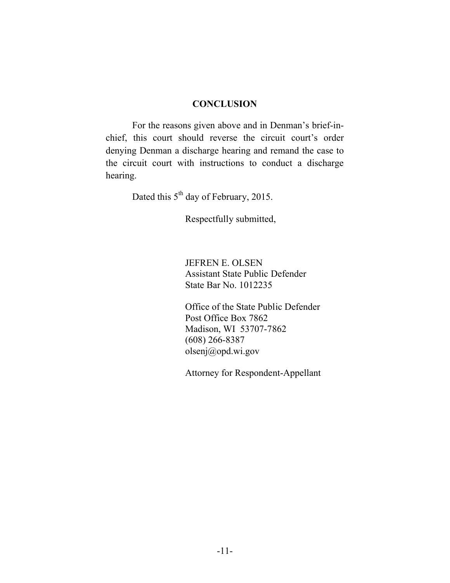#### **CONCLUSION**

For the reasons given above and in Denman's brief-inchief, this court should reverse the circuit court's order denying Denman a discharge hearing and remand the case to the circuit court with instructions to conduct a discharge hearing.

Dated this 5<sup>th</sup> day of February, 2015.

Respectfully submitted,

JEFREN E. OLSEN Assistant State Public Defender State Bar No. 1012235

Office of the State Public Defender Post Office Box 7862 Madison, WI 53707-7862 (608) 266-8387 olsenj@opd.wi.gov

Attorney for Respondent-Appellant